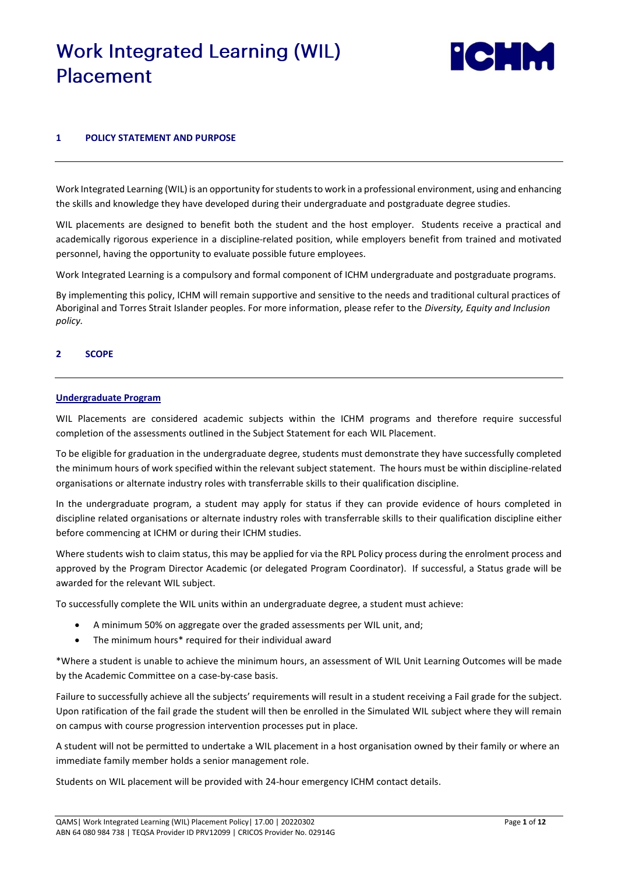# **Work Integrated Learning (WIL)** Placement



# **1 POLICY STATEMENT AND PURPOSE**

Work Integrated Learning (WIL) is an opportunity for students to work in a professional environment, using and enhancing the skills and knowledge they have developed during their undergraduate and postgraduate degree studies.

WIL placements are designed to benefit both the student and the host employer. Students receive a practical and academically rigorous experience in a discipline-related position, while employers benefit from trained and motivated personnel, having the opportunity to evaluate possible future employees.

Work Integrated Learning is a compulsory and formal component of ICHM undergraduate and postgraduate programs.

By implementing this policy, ICHM will remain supportive and sensitive to the needs and traditional cultural practices of Aboriginal and Torres Strait Islander peoples. For more information, please refer to the *Diversity, Equity and Inclusion policy.*

# **2 SCOPE**

# **Undergraduate Program**

WIL Placements are considered academic subjects within the ICHM programs and therefore require successful completion of the assessments outlined in the Subject Statement for each WIL Placement.

To be eligible for graduation in the undergraduate degree, students must demonstrate they have successfully completed the minimum hours of work specified within the relevant subject statement. The hours must be within discipline-related organisations or alternate industry roles with transferrable skills to their qualification discipline.

In the undergraduate program, a student may apply for status if they can provide evidence of hours completed in discipline related organisations or alternate industry roles with transferrable skills to their qualification discipline either before commencing at ICHM or during their ICHM studies.

Where students wish to claim status, this may be applied for via the RPL Policy process during the enrolment process and approved by the Program Director Academic (or delegated Program Coordinator). If successful, a Status grade will be awarded for the relevant WIL subject.

To successfully complete the WIL units within an undergraduate degree, a student must achieve:

- A minimum 50% on aggregate over the graded assessments per WIL unit, and;
- The minimum hours\* required for their individual award

\*Where a student is unable to achieve the minimum hours, an assessment of WIL Unit Learning Outcomes will be made by the Academic Committee on a case-by-case basis.

Failure to successfully achieve all the subjects' requirements will result in a student receiving a Fail grade for the subject. Upon ratification of the fail grade the student will then be enrolled in the Simulated WIL subject where they will remain on campus with course progression intervention processes put in place.

A student will not be permitted to undertake a WIL placement in a host organisation owned by their family or where an immediate family member holds a senior management role.

Students on WIL placement will be provided with 24-hour emergency ICHM contact details.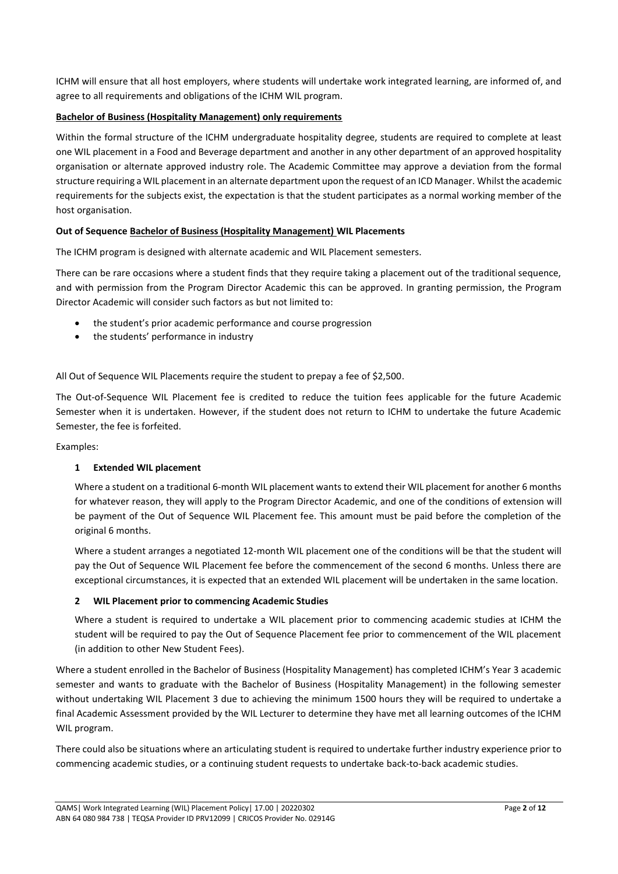ICHM will ensure that all host employers, where students will undertake work integrated learning, are informed of, and agree to all requirements and obligations of the ICHM WIL program.

# **Bachelor of Business (Hospitality Management) only requirements**

Within the formal structure of the ICHM undergraduate hospitality degree, students are required to complete at least one WIL placement in a Food and Beverage department and another in any other department of an approved hospitality organisation or alternate approved industry role. The Academic Committee may approve a deviation from the formal structure requiring a WIL placement in an alternate department upon the request of an ICD Manager. Whilst the academic requirements for the subjects exist, the expectation is that the student participates as a normal working member of the host organisation.

# **Out of Sequence Bachelor of Business (Hospitality Management) WIL Placements**

The ICHM program is designed with alternate academic and WIL Placement semesters.

There can be rare occasions where a student finds that they require taking a placement out of the traditional sequence, and with permission from the Program Director Academic this can be approved. In granting permission, the Program Director Academic will consider such factors as but not limited to:

- the student's prior academic performance and course progression
- the students' performance in industry

All Out of Sequence WIL Placements require the student to prepay a fee of \$2,500.

The Out-of-Sequence WIL Placement fee is credited to reduce the tuition fees applicable for the future Academic Semester when it is undertaken. However, if the student does not return to ICHM to undertake the future Academic Semester, the fee is forfeited.

Examples:

# **1 Extended WIL placement**

Where a student on a traditional 6-month WIL placement wants to extend their WIL placement for another 6 months for whatever reason, they will apply to the Program Director Academic, and one of the conditions of extension will be payment of the Out of Sequence WIL Placement fee. This amount must be paid before the completion of the original 6 months.

Where a student arranges a negotiated 12-month WIL placement one of the conditions will be that the student will pay the Out of Sequence WIL Placement fee before the commencement of the second 6 months. Unless there are exceptional circumstances, it is expected that an extended WIL placement will be undertaken in the same location.

# **2 WIL Placement prior to commencing Academic Studies**

Where a student is required to undertake a WIL placement prior to commencing academic studies at ICHM the student will be required to pay the Out of Sequence Placement fee prior to commencement of the WIL placement (in addition to other New Student Fees).

Where a student enrolled in the Bachelor of Business (Hospitality Management) has completed ICHM's Year 3 academic semester and wants to graduate with the Bachelor of Business (Hospitality Management) in the following semester without undertaking WIL Placement 3 due to achieving the minimum 1500 hours they will be required to undertake a final Academic Assessment provided by the WIL Lecturer to determine they have met all learning outcomes of the ICHM WIL program.

There could also be situations where an articulating student is required to undertake further industry experience prior to commencing academic studies, or a continuing student requests to undertake back-to-back academic studies.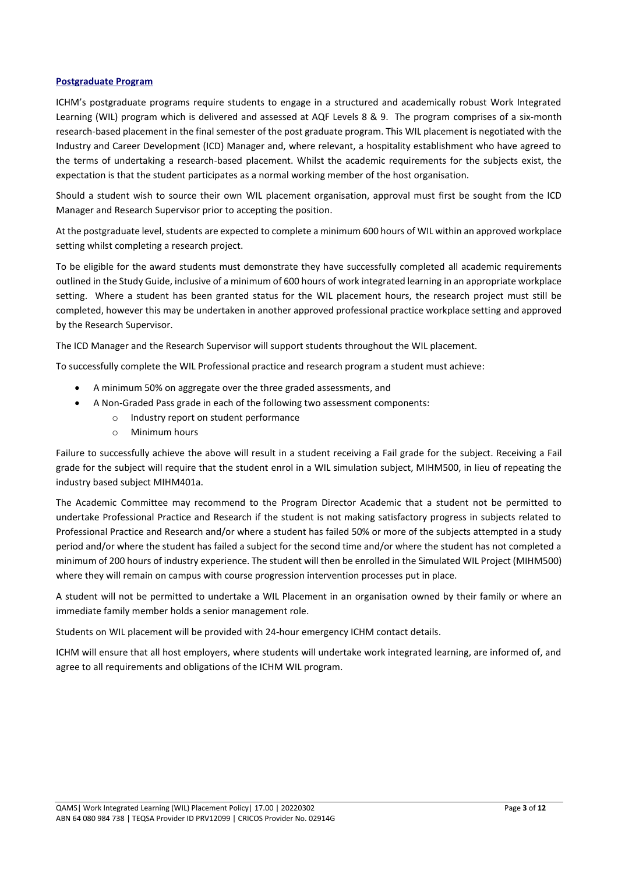# **Postgraduate Program**

ICHM's postgraduate programs require students to engage in a structured and academically robust Work Integrated Learning (WIL) program which is delivered and assessed at AQF Levels 8 & 9. The program comprises of a six-month research-based placement in the final semester of the post graduate program. This WIL placement is negotiated with the Industry and Career Development (ICD) Manager and, where relevant, a hospitality establishment who have agreed to the terms of undertaking a research-based placement. Whilst the academic requirements for the subjects exist, the expectation is that the student participates as a normal working member of the host organisation.

Should a student wish to source their own WIL placement organisation, approval must first be sought from the ICD Manager and Research Supervisor prior to accepting the position.

At the postgraduate level, students are expected to complete a minimum 600 hours of WIL within an approved workplace setting whilst completing a research project.

To be eligible for the award students must demonstrate they have successfully completed all academic requirements outlined in the Study Guide, inclusive of a minimum of 600 hours of work integrated learning in an appropriate workplace setting. Where a student has been granted status for the WIL placement hours, the research project must still be completed, however this may be undertaken in another approved professional practice workplace setting and approved by the Research Supervisor.

The ICD Manager and the Research Supervisor will support students throughout the WIL placement.

To successfully complete the WIL Professional practice and research program a student must achieve:

- A minimum 50% on aggregate over the three graded assessments, and
- A Non-Graded Pass grade in each of the following two assessment components:
	- o Industry report on student performance
	- o Minimum hours

Failure to successfully achieve the above will result in a student receiving a Fail grade for the subject. Receiving a Fail grade for the subject will require that the student enrol in a WIL simulation subject, MIHM500, in lieu of repeating the industry based subject MIHM401a.

The Academic Committee may recommend to the Program Director Academic that a student not be permitted to undertake Professional Practice and Research if the student is not making satisfactory progress in subjects related to Professional Practice and Research and/or where a student has failed 50% or more of the subjects attempted in a study period and/or where the student has failed a subject for the second time and/or where the student has not completed a minimum of 200 hours of industry experience. The student will then be enrolled in the Simulated WIL Project (MIHM500) where they will remain on campus with course progression intervention processes put in place.

A student will not be permitted to undertake a WIL Placement in an organisation owned by their family or where an immediate family member holds a senior management role.

Students on WIL placement will be provided with 24-hour emergency ICHM contact details.

ICHM will ensure that all host employers, where students will undertake work integrated learning, are informed of, and agree to all requirements and obligations of the ICHM WIL program.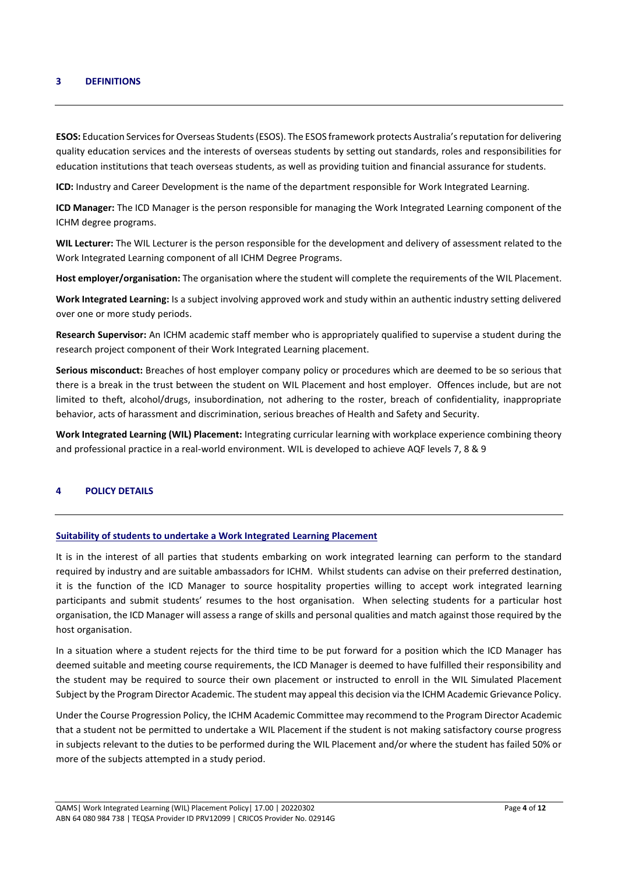#### **3 DEFINITIONS**

**ESOS:** Education Services for Overseas Students (ESOS). The ESOS framework protects Australia's reputation for delivering quality education services and the interests of overseas students by setting out standards, roles and responsibilities for education institutions that teach overseas students, as well as providing tuition and financial assurance for students.

**ICD:** Industry and Career Development is the name of the department responsible for Work Integrated Learning.

**ICD Manager:** The ICD Manager is the person responsible for managing the Work Integrated Learning component of the ICHM degree programs.

**WIL Lecturer:** The WIL Lecturer is the person responsible for the development and delivery of assessment related to the Work Integrated Learning component of all ICHM Degree Programs.

**Host employer/organisation:** The organisation where the student will complete the requirements of the WIL Placement.

**Work Integrated Learning:** Is a subject involving approved work and study within an authentic industry setting delivered over one or more study periods.

**Research Supervisor:** An ICHM academic staff member who is appropriately qualified to supervise a student during the research project component of their Work Integrated Learning placement.

**Serious misconduct:** Breaches of host employer company policy or procedures which are deemed to be so serious that there is a break in the trust between the student on WIL Placement and host employer. Offences include, but are not limited to theft, alcohol/drugs, insubordination, not adhering to the roster, breach of confidentiality, inappropriate behavior, acts of harassment and discrimination, serious breaches of Health and Safety and Security.

**Work Integrated Learning (WIL) Placement:** Integrating curricular learning with workplace experience combining theory and professional practice in a real-world environment. WIL is developed to achieve AQF levels 7, 8 & 9

# **4 POLICY DETAILS**

# **Suitability of students to undertake a Work Integrated Learning Placement**

It is in the interest of all parties that students embarking on work integrated learning can perform to the standard required by industry and are suitable ambassadors for ICHM. Whilst students can advise on their preferred destination, it is the function of the ICD Manager to source hospitality properties willing to accept work integrated learning participants and submit students' resumes to the host organisation. When selecting students for a particular host organisation, the ICD Manager will assess a range of skills and personal qualities and match against those required by the host organisation.

In a situation where a student rejects for the third time to be put forward for a position which the ICD Manager has deemed suitable and meeting course requirements, the ICD Manager is deemed to have fulfilled their responsibility and the student may be required to source their own placement or instructed to enroll in the WIL Simulated Placement Subject by the Program Director Academic. The student may appeal this decision via the ICHM Academic Grievance Policy.

Under the Course Progression Policy, the ICHM Academic Committee may recommend to the Program Director Academic that a student not be permitted to undertake a WIL Placement if the student is not making satisfactory course progress in subjects relevant to the duties to be performed during the WIL Placement and/or where the student has failed 50% or more of the subjects attempted in a study period.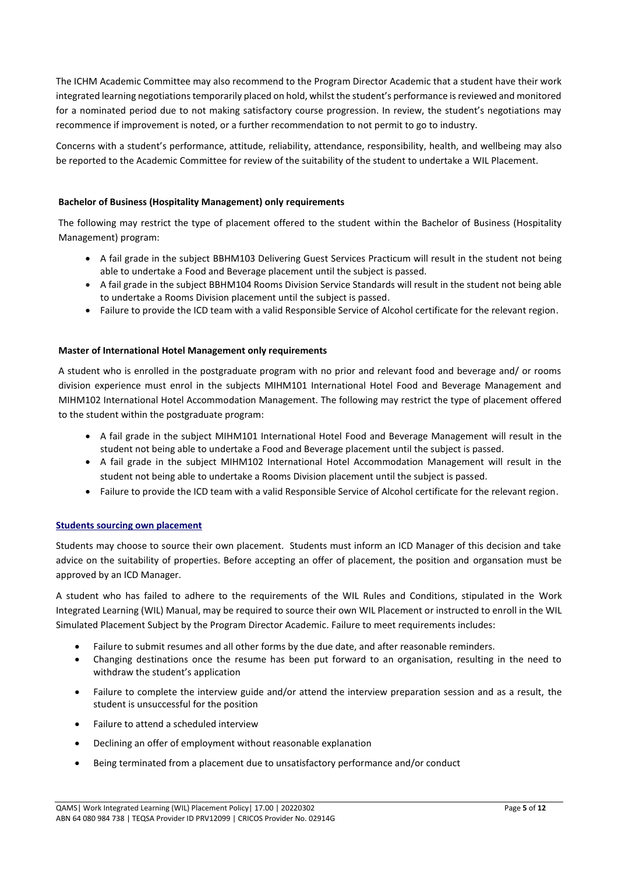The ICHM Academic Committee may also recommend to the Program Director Academic that a student have their work integrated learning negotiations temporarily placed on hold, whilst the student's performance is reviewed and monitored for a nominated period due to not making satisfactory course progression. In review, the student's negotiations may recommence if improvement is noted, or a further recommendation to not permit to go to industry.

Concerns with a student's performance, attitude, reliability, attendance, responsibility, health, and wellbeing may also be reported to the Academic Committee for review of the suitability of the student to undertake a WIL Placement.

# **Bachelor of Business (Hospitality Management) only requirements**

The following may restrict the type of placement offered to the student within the Bachelor of Business (Hospitality Management) program:

- A fail grade in the subject BBHM103 Delivering Guest Services Practicum will result in the student not being able to undertake a Food and Beverage placement until the subject is passed.
- A fail grade in the subject BBHM104 Rooms Division Service Standards will result in the student not being able to undertake a Rooms Division placement until the subject is passed.
- Failure to provide the ICD team with a valid Responsible Service of Alcohol certificate for the relevant region.

# **Master of International Hotel Management only requirements**

A student who is enrolled in the postgraduate program with no prior and relevant food and beverage and/ or rooms division experience must enrol in the subjects MIHM101 International Hotel Food and Beverage Management and MIHM102 International Hotel Accommodation Management. The following may restrict the type of placement offered to the student within the postgraduate program:

- A fail grade in the subject MIHM101 International Hotel Food and Beverage Management will result in the student not being able to undertake a Food and Beverage placement until the subject is passed.
- A fail grade in the subject MIHM102 International Hotel Accommodation Management will result in the student not being able to undertake a Rooms Division placement until the subject is passed.
- Failure to provide the ICD team with a valid Responsible Service of Alcohol certificate for the relevant region.

# **Students sourcing own placement**

Students may choose to source their own placement. Students must inform an ICD Manager of this decision and take advice on the suitability of properties. Before accepting an offer of placement, the position and organsation must be approved by an ICD Manager.

A student who has failed to adhere to the requirements of the WIL Rules and Conditions, stipulated in the Work Integrated Learning (WIL) Manual, may be required to source their own WIL Placement or instructed to enroll in the WIL Simulated Placement Subject by the Program Director Academic. Failure to meet requirements includes:

- Failure to submit resumes and all other forms by the due date, and after reasonable reminders.
- Changing destinations once the resume has been put forward to an organisation, resulting in the need to withdraw the student's application
- Failure to complete the interview guide and/or attend the interview preparation session and as a result, the student is unsuccessful for the position
- Failure to attend a scheduled interview
- Declining an offer of employment without reasonable explanation
- Being terminated from a placement due to unsatisfactory performance and/or conduct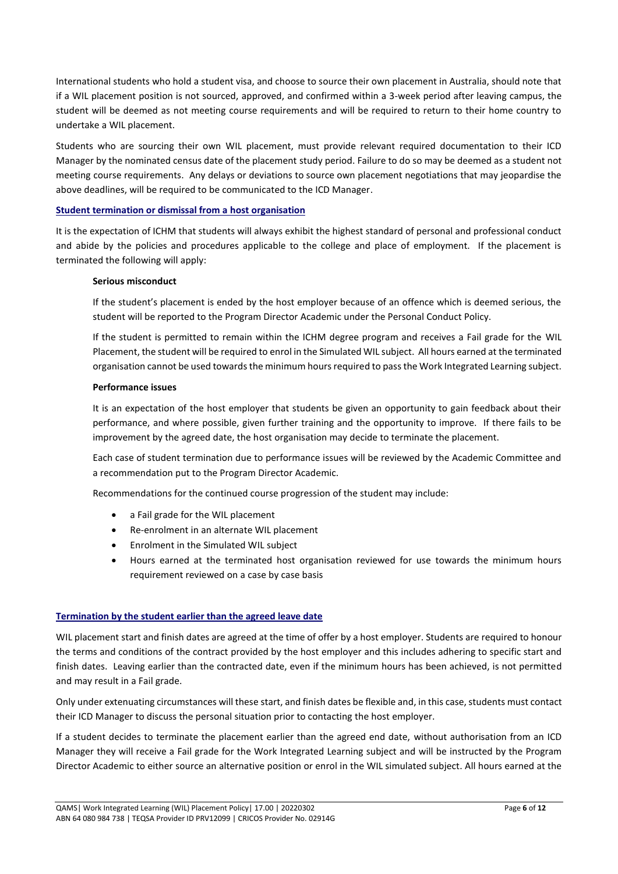International students who hold a student visa, and choose to source their own placement in Australia, should note that if a WIL placement position is not sourced, approved, and confirmed within a 3-week period after leaving campus, the student will be deemed as not meeting course requirements and will be required to return to their home country to undertake a WIL placement.

Students who are sourcing their own WIL placement, must provide relevant required documentation to their ICD Manager by the nominated census date of the placement study period. Failure to do so may be deemed as a student not meeting course requirements. Any delays or deviations to source own placement negotiations that may jeopardise the above deadlines, will be required to be communicated to the ICD Manager.

# **Student termination or dismissal from a host organisation**

It is the expectation of ICHM that students will always exhibit the highest standard of personal and professional conduct and abide by the policies and procedures applicable to the college and place of employment. If the placement is terminated the following will apply:

# **Serious misconduct**

If the student's placement is ended by the host employer because of an offence which is deemed serious, the student will be reported to the Program Director Academic under the Personal Conduct Policy.

If the student is permitted to remain within the ICHM degree program and receives a Fail grade for the WIL Placement, the student will be required to enrol in the Simulated WIL subject. All hours earned at the terminated organisation cannot be used towards the minimum hours required to pass the Work Integrated Learning subject.

#### **Performance issues**

It is an expectation of the host employer that students be given an opportunity to gain feedback about their performance, and where possible, given further training and the opportunity to improve. If there fails to be improvement by the agreed date, the host organisation may decide to terminate the placement.

Each case of student termination due to performance issues will be reviewed by the Academic Committee and a recommendation put to the Program Director Academic.

Recommendations for the continued course progression of the student may include:

- a Fail grade for the WIL placement
- Re-enrolment in an alternate WIL placement
- Enrolment in the Simulated WIL subject
- Hours earned at the terminated host organisation reviewed for use towards the minimum hours requirement reviewed on a case by case basis

# **Termination by the student earlier than the agreed leave date**

WIL placement start and finish dates are agreed at the time of offer by a host employer. Students are required to honour the terms and conditions of the contract provided by the host employer and this includes adhering to specific start and finish dates. Leaving earlier than the contracted date, even if the minimum hours has been achieved, is not permitted and may result in a Fail grade.

Only under extenuating circumstances will these start, and finish dates be flexible and, in this case, students must contact their ICD Manager to discuss the personal situation prior to contacting the host employer.

If a student decides to terminate the placement earlier than the agreed end date, without authorisation from an ICD Manager they will receive a Fail grade for the Work Integrated Learning subject and will be instructed by the Program Director Academic to either source an alternative position or enrol in the WIL simulated subject. All hours earned at the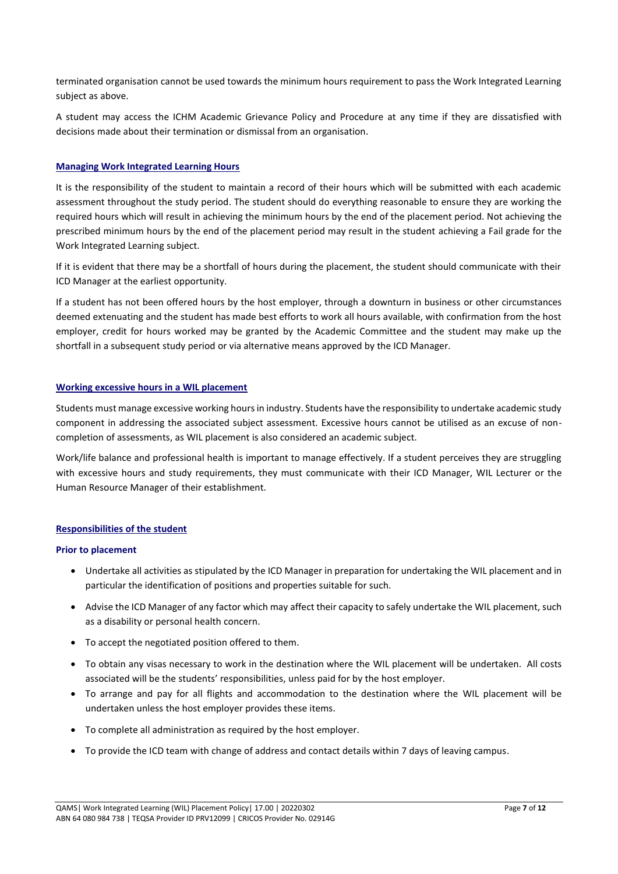terminated organisation cannot be used towards the minimum hours requirement to pass the Work Integrated Learning subject as above.

A student may access the ICHM Academic Grievance Policy and Procedure at any time if they are dissatisfied with decisions made about their termination or dismissal from an organisation.

# **Managing Work Integrated Learning Hours**

It is the responsibility of the student to maintain a record of their hours which will be submitted with each academic assessment throughout the study period. The student should do everything reasonable to ensure they are working the required hours which will result in achieving the minimum hours by the end of the placement period. Not achieving the prescribed minimum hours by the end of the placement period may result in the student achieving a Fail grade for the Work Integrated Learning subject.

If it is evident that there may be a shortfall of hours during the placement, the student should communicate with their ICD Manager at the earliest opportunity.

If a student has not been offered hours by the host employer, through a downturn in business or other circumstances deemed extenuating and the student has made best efforts to work all hours available, with confirmation from the host employer, credit for hours worked may be granted by the Academic Committee and the student may make up the shortfall in a subsequent study period or via alternative means approved by the ICD Manager.

#### **Working excessive hours in a WIL placement**

Students must manage excessive working hours in industry. Students have the responsibility to undertake academic study component in addressing the associated subject assessment. Excessive hours cannot be utilised as an excuse of noncompletion of assessments, as WIL placement is also considered an academic subject.

Work/life balance and professional health is important to manage effectively. If a student perceives they are struggling with excessive hours and study requirements, they must communicate with their ICD Manager, WIL Lecturer or the Human Resource Manager of their establishment.

# **Responsibilities of the student**

#### **Prior to placement**

- Undertake all activities as stipulated by the ICD Manager in preparation for undertaking the WIL placement and in particular the identification of positions and properties suitable for such.
- Advise the ICD Manager of any factor which may affect their capacity to safely undertake the WIL placement, such as a disability or personal health concern.
- To accept the negotiated position offered to them.
- To obtain any visas necessary to work in the destination where the WIL placement will be undertaken. All costs associated will be the students' responsibilities, unless paid for by the host employer.
- To arrange and pay for all flights and accommodation to the destination where the WIL placement will be undertaken unless the host employer provides these items.
- To complete all administration as required by the host employer.
- To provide the ICD team with change of address and contact details within 7 days of leaving campus.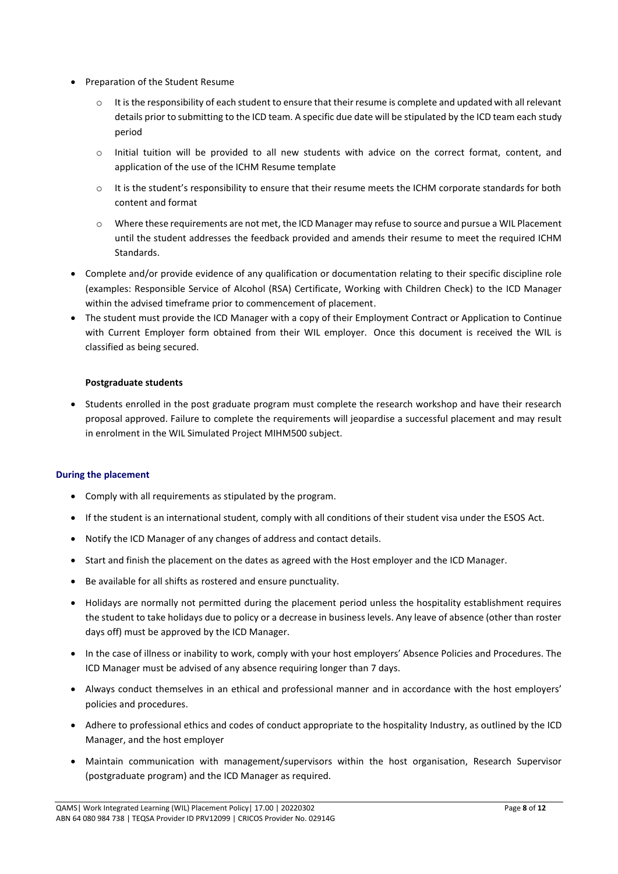- Preparation of the Student Resume
	- $\circ$  It is the responsibility of each student to ensure that their resume is complete and updated with all relevant details prior to submitting to the ICD team. A specific due date will be stipulated by the ICD team each study period
	- o Initial tuition will be provided to all new students with advice on the correct format, content, and application of the use of the ICHM Resume template
	- $\circ$  It is the student's responsibility to ensure that their resume meets the ICHM corporate standards for both content and format
	- $\circ$  Where these requirements are not met, the ICD Manager may refuse to source and pursue a WIL Placement until the student addresses the feedback provided and amends their resume to meet the required ICHM Standards.
- Complete and/or provide evidence of any qualification or documentation relating to their specific discipline role (examples: Responsible Service of Alcohol (RSA) Certificate, Working with Children Check) to the ICD Manager within the advised timeframe prior to commencement of placement.
- The student must provide the ICD Manager with a copy of their Employment Contract or Application to Continue with Current Employer form obtained from their WIL employer. Once this document is received the WIL is classified as being secured.

# **Postgraduate students**

• Students enrolled in the post graduate program must complete the research workshop and have their research proposal approved. Failure to complete the requirements will jeopardise a successful placement and may result in enrolment in the WIL Simulated Project MIHM500 subject.

# **During the placement**

- Comply with all requirements as stipulated by the program.
- If the student is an international student, comply with all conditions of their student visa under the ESOS Act.
- Notify the ICD Manager of any changes of address and contact details.
- Start and finish the placement on the dates as agreed with the Host employer and the ICD Manager.
- Be available for all shifts as rostered and ensure punctuality.
- Holidays are normally not permitted during the placement period unless the hospitality establishment requires the student to take holidays due to policy or a decrease in business levels. Any leave of absence (other than roster days off) must be approved by the ICD Manager.
- In the case of illness or inability to work, comply with your host employers' Absence Policies and Procedures. The ICD Manager must be advised of any absence requiring longer than 7 days.
- Always conduct themselves in an ethical and professional manner and in accordance with the host employers' policies and procedures.
- Adhere to professional ethics and codes of conduct appropriate to the hospitality Industry, as outlined by the ICD Manager, and the host employer
- Maintain communication with management/supervisors within the host organisation, Research Supervisor (postgraduate program) and the ICD Manager as required.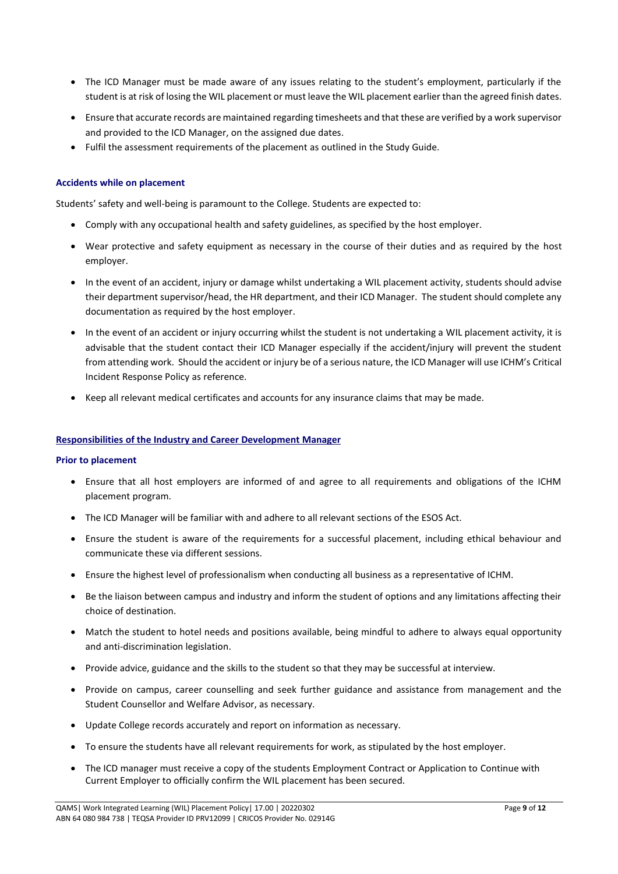- The ICD Manager must be made aware of any issues relating to the student's employment, particularly if the student is at risk of losing the WIL placement or must leave the WIL placement earlier than the agreed finish dates.
- Ensure that accurate records are maintained regarding timesheets and that these are verified by a work supervisor and provided to the ICD Manager, on the assigned due dates.
- Fulfil the assessment requirements of the placement as outlined in the Study Guide.

# **Accidents while on placement**

Students' safety and well-being is paramount to the College. Students are expected to:

- Comply with any occupational health and safety guidelines, as specified by the host employer.
- Wear protective and safety equipment as necessary in the course of their duties and as required by the host employer.
- In the event of an accident, injury or damage whilst undertaking a WIL placement activity, students should advise their department supervisor/head, the HR department, and their ICD Manager. The student should complete any documentation as required by the host employer.
- In the event of an accident or injury occurring whilst the student is not undertaking a WIL placement activity, it is advisable that the student contact their ICD Manager especially if the accident/injury will prevent the student from attending work. Should the accident or injury be of a serious nature, the ICD Manager will use ICHM's Critical Incident Response Policy as reference.
- Keep all relevant medical certificates and accounts for any insurance claims that may be made.

#### **Responsibilities of the Industry and Career Development Manager**

#### **Prior to placement**

- Ensure that all host employers are informed of and agree to all requirements and obligations of the ICHM placement program.
- The ICD Manager will be familiar with and adhere to all relevant sections of the ESOS Act.
- Ensure the student is aware of the requirements for a successful placement, including ethical behaviour and communicate these via different sessions.
- Ensure the highest level of professionalism when conducting all business as a representative of ICHM.
- Be the liaison between campus and industry and inform the student of options and any limitations affecting their choice of destination.
- Match the student to hotel needs and positions available, being mindful to adhere to always equal opportunity and anti-discrimination legislation.
- Provide advice, guidance and the skills to the student so that they may be successful at interview.
- Provide on campus, career counselling and seek further guidance and assistance from management and the Student Counsellor and Welfare Advisor, as necessary.
- Update College records accurately and report on information as necessary.
- To ensure the students have all relevant requirements for work, as stipulated by the host employer.
- The ICD manager must receive a copy of the students Employment Contract or Application to Continue with Current Employer to officially confirm the WIL placement has been secured.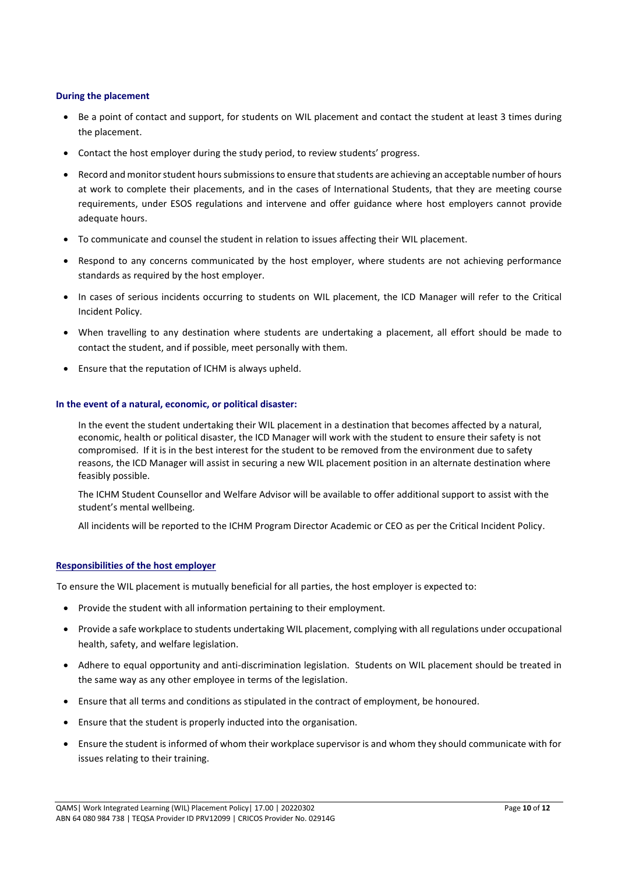#### **During the placement**

- Be a point of contact and support, for students on WIL placement and contact the student at least 3 times during the placement.
- Contact the host employer during the study period, to review students' progress.
- Record and monitor student hourssubmissions to ensure that students are achieving an acceptable number of hours at work to complete their placements, and in the cases of International Students, that they are meeting course requirements, under ESOS regulations and intervene and offer guidance where host employers cannot provide adequate hours.
- To communicate and counsel the student in relation to issues affecting their WIL placement.
- Respond to any concerns communicated by the host employer, where students are not achieving performance standards as required by the host employer.
- In cases of serious incidents occurring to students on WIL placement, the ICD Manager will refer to the Critical Incident Policy.
- When travelling to any destination where students are undertaking a placement, all effort should be made to contact the student, and if possible, meet personally with them.
- Ensure that the reputation of ICHM is always upheld.

#### **In the event of a natural, economic, or political disaster:**

In the event the student undertaking their WIL placement in a destination that becomes affected by a natural, economic, health or political disaster, the ICD Manager will work with the student to ensure their safety is not compromised. If it is in the best interest for the student to be removed from the environment due to safety reasons, the ICD Manager will assist in securing a new WIL placement position in an alternate destination where feasibly possible.

The ICHM Student Counsellor and Welfare Advisor will be available to offer additional support to assist with the student's mental wellbeing.

All incidents will be reported to the ICHM Program Director Academic or CEO as per the Critical Incident Policy.

#### **Responsibilities of the host employer**

To ensure the WIL placement is mutually beneficial for all parties, the host employer is expected to:

- Provide the student with all information pertaining to their employment.
- Provide a safe workplace to students undertaking WIL placement, complying with all regulations under occupational health, safety, and welfare legislation.
- Adhere to equal opportunity and anti-discrimination legislation. Students on WIL placement should be treated in the same way as any other employee in terms of the legislation.
- Ensure that all terms and conditions as stipulated in the contract of employment, be honoured.
- Ensure that the student is properly inducted into the organisation.
- Ensure the student is informed of whom their workplace supervisor is and whom they should communicate with for issues relating to their training.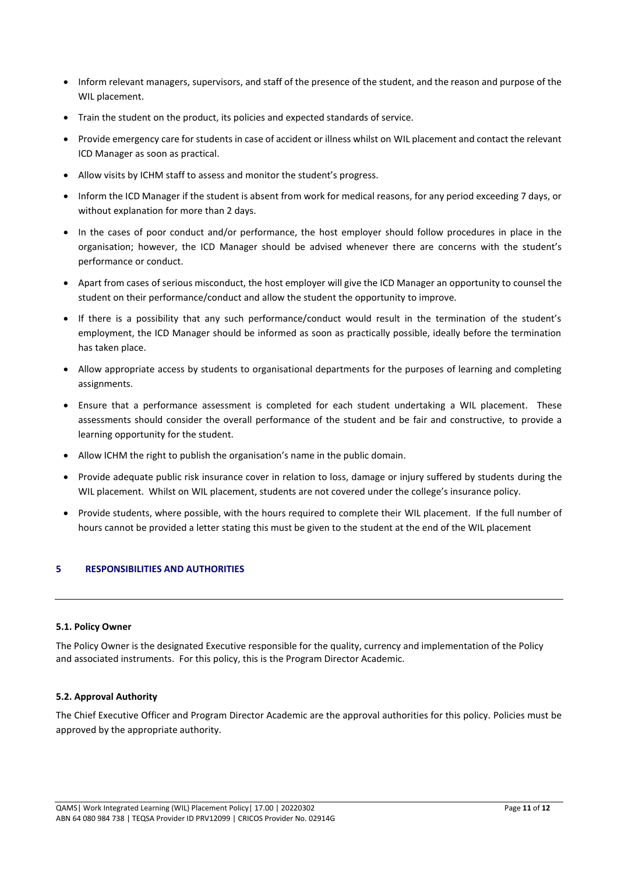- Inform relevant managers, supervisors, and staff of the presence of the student, and the reason and purpose of the WIL placement.
- Train the student on the product, its policies and expected standards of service.
- Provide emergency care for students in case of accident or illness whilst on WIL placement and contact the relevant ICD Manager as soon as practical.
- Allow visits by ICHM staff to assess and monitor the student's progress.
- Inform the ICD Manager if the student is absent from work for medical reasons, for any period exceeding 7 days, or without explanation for more than 2 days.
- In the cases of poor conduct and/or performance, the host employer should follow procedures in place in the organisation; however, the ICD Manager should be advised whenever there are concerns with the student's performance or conduct.
- Apart from cases of serious misconduct, the host employer will give the ICD Manager an opportunity to counsel the student on their performance/conduct and allow the student the opportunity to improve.
- If there is a possibility that any such performance/conduct would result in the termination of the student's employment, the ICD Manager should be informed as soon as practically possible, ideally before the termination has taken place.
- Allow appropriate access by students to organisational departments for the purposes of learning and completing assignments.
- Ensure that a performance assessment is completed for each student undertaking a WIL placement. These assessments should consider the overall performance of the student and be fair and constructive, to provide a learning opportunity for the student.
- Allow ICHM the right to publish the organisation's name in the public domain.
- Provide adequate public risk insurance cover in relation to loss, damage or injury suffered by students during the WIL placement. Whilst on WIL placement, students are not covered under the college's insurance policy.
- Provide students, where possible, with the hours required to complete their WIL placement. If the full number of hours cannot be provided a letter stating this must be given to the student at the end of the WIL placement

# **5 RESPONSIBILITIES AND AUTHORITIES**

# **5.1. Policy Owner**

The Policy Owner is the designated Executive responsible for the quality, currency and implementation of the Policy and associated instruments. For this policy, this is the Program Director Academic.

# **5.2. Approval Authority**

The Chief Executive Officer and Program Director Academic are the approval authorities for this policy. Policies must be approved by the appropriate authority.